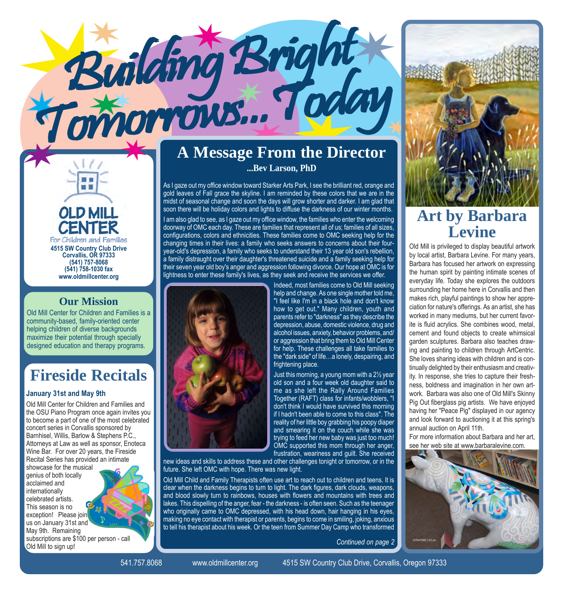

■■

#### **Our Mission**

Old Mill Center for Children and Families is a community-based, family-oriented center helping children of diverse backgrounds maximize their potential through specially designed education and therapy programs.

## **Fireside Recitals**

#### **January 31st and May 9th**

Old Mill Center for Children and Families and the OSU Piano Program once again invites you to become a part of one of the most celebrated concert series in Corvallis sponsored by Barnhisel, Willis, Barlow & Stephens P.C., Attorneys at Law as well as sponsor, Enoteca Wine Bar. For over 20 years, the Fireside Recital Series has provided an intimate

showcase for the musical genius of both locally acclaimed and internationally celebrated artists. This season is no exception! Please join us on January 31st and May 9th. Remaining subscriptions are \$100 per person - call Old Mill to sign up! *Continued on page 2*



### **A Message From the Director ...Bev Larson, PhD**

As I gaze out my office window toward Starker Arts Park, I see the brilliant red, orange and gold leaves of Fall grace the skyline. I am reminded by these colors that we are in the midst of seasonal change and soon the days will grow shorter and darker. I am glad that soon there will be holiday colors and lights to diffuse the darkness of our winter months.

I am also glad to see, as I gaze out my office window, the families who enter the welcoming doorway of OMC each day. These are families that represent all of us; families of all sizes, configurations, colors and ethnicities. These families come to OMC seeking help for the changing times in their lives: a family who seeks answers to concerns about their fouryear-old's depression, a family who seeks to understand their 13 year old son's rebellion, a family distraught over their daughter's threatened suicide and a family seeking help for their seven year old boy's anger and aggression following divorce. Our hope at OMC is for lightness to enter these family's lives, as they seek and receive the services we offer.



Building Bright

Tomorrows...Today Tomorrows...Today Tomorrows...Today

Indeed, most families come to Old Mill seeking help and change. As one single mother told me, "I feel like I'm in a black hole and don't know how to get out." Many children, youth and parents refer to "darkness" as they describe the depression, abuse, domestic violence, drug and alcohol issues, anxiety, behavior problems, and/ or aggression that bring them to Old Mill Center for help. These challenges all take families to the "dark side" of life...a lonely, despairing, and frightening place.

Just this morning, a young mom with a 2½ year old son and a four week old daughter said to me as she left the Rally Around Families Together (RAFT) class for infants/wobblers, "I don't think I would have survived this morning if I hadn't been able to come to this class". The reality of her little boy grabbing his poopy diaper and smearing it on the couch while she was trying to feed her new baby was just too much! OMC supported this mom through her anger, frustration, weariness and guilt. She received

new ideas and skills to address these and other challenges tonight or tomorrow, or in the future. She left OMC with hope. There was new light.

Old Mill Child and Family Therapists often use art to reach out to children and teens. It is clear when the darkness begins to turn to light. The dark figures, dark clouds, weapons, and blood slowly turn to rainbows, houses with flowers and mountains with trees and lakes. This dispelling of the anger, fear - the darkness - is often seen. Such as the teenager who originally came to OMC depressed, with his head down, hair hanging in his eyes, making no eye contact with therapist or parents, begins to come in smiling, joking, anxious to tell his therapist about his week. Or the teen from Summer Day Camp who transformed



## **Art by Barbara Levine**

Old Mill is privileged to display beautiful artwork by local artist, Barbara Levine. For many years, Barbara has focused her artwork on expressing the human spirit by painting intimate scenes of everyday life. Today she explores the outdoors surrounding her home here in Corvallis and then makes rich, playful paintings to show her appreciation for nature's offerings. As an artist, she has worked in many mediums, but her current favorite is fluid acrylics. She combines wood, metal, cement and found objects to create whimsical garden sculptures. Barbara also teaches drawing and painting to children through ArtCentric. She loves sharing ideas with children and is continually delighted by their enthusiasm and creativity. In response, she tries to capture their freshness, boldness and imagination in her own artwork. Barbara was also one of Old Mill's Skinny Pig Out fiberglass pig artists. We have enjoyed having her "Peace Pig" displayed in our agency and look forward to auctioning it at this spring's annual auction on April 11th.

For more information about Barbara and her art, see her web site at www.barbaralevine.com.



541.757.8068 www.oldmillcenter.org 4515 SW Country Club Drive, Corvallis, Oregon 97333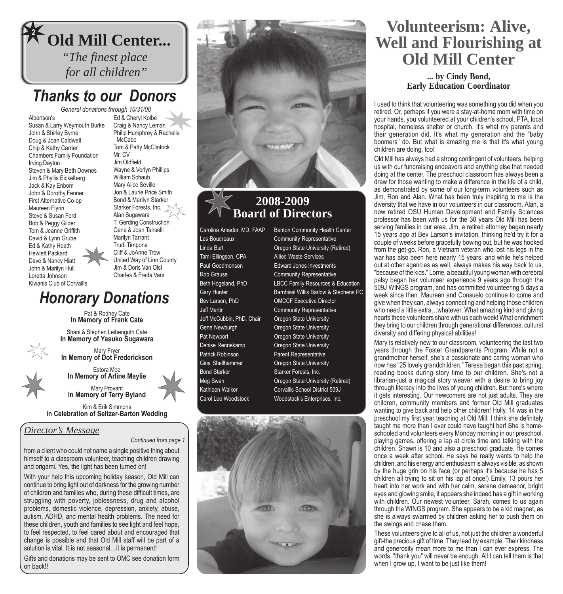

## *Thanks to our Donors*

Albertson's Susan & Larry Weymouth Burke John & Shirley Byrne Doug & Joan Caldwell Chip & Kathy Carrier Chambers Family Foundation Irving Dayton Steven & Mary Beth Downes Jim & Phyllis Eickelberg Jack & Kay Enbom John & Dorothy Fenner First Alternative Co-op Maureen Flynn Steve & Susan Ford Bob & Peggy Gilder Tom & Jeanne Griffith David & Lynn Grube Ed & Kathy Heath Hewlett Packard Dave & Nancy Hiatt John & Marilyn Hull Loretta Johnson Kiwanis Club of Corvallis

*General donations through 10/31/08* Ed & Cheryl Kolbe Craig & Nancy Leman Philip Humphrey & Rachelle **McCabe** Tom & Patty McClintock Mr. CV Jim Oldfield Wayne & Verlyn Phillips William Schaub Mary Alice Seville Jon & Laurie Price Smith Bond & Marilyn Starker Starker Forests, Inc. Alan Sugawara T. Gerding Construction Gene & Joan Tanselli Marilyn Tarrant Trudi Timpone Cliff & JoAnne Trow United Way of Linn County Jim & Doris Van Olst Charles & Freda Vars

## *Honorary Donations*

Pat & Rodney Cate **In Memory of Frank Cate**

Shani & Stephen Leibenguth Cate **In Memory of Yasuko Sugawara**

Mary Fryer **In Memory of Dot Frederickson**

Estora Moe **In Memory of Arline Maylie**

Mary Provant **In Memory of Terry Byland**

Kim & Erik Simmons **In Celebration of Seltzer-Barton Wedding**

#### *Director's Message*

*Continued from page 1*

from a client who could not name a single positive thing about himself to a classroom volunteer, teaching children drawing and origami. Yes, the light has been turned on!

With your help this upcoming holiday season, Old Mill can continue to bring light out of darkness for the growing number of children and families who, during these difficult times, are struggling with poverty, joblessness, drug and alcohol problems, domestic violence, depression, anxiety, abuse, autism, ADHD, and mental health problems. The need for these children, youth and families to see light and feel hope, to feel respected, to feel cared about and encouraged that change is possible and that Old Mill staff will be part of a solution is vital. It is not seasonal...it is permanent!

Gifts and donations may be sent to OMC see donation form on back!!



#### **2008-2009 Board of Directors**

Tami Ellingson, CPA Allied Waste Services Jeff McCubbin, PhD, Chair Oregon State University Gene Newburgh **Callet Conversion** Oregon State University Pat Newport **Communist Communist Communist Communist Communist Communist Communist Communist Communist Communist Communist Communist Communist Communist Communist Communist Communist Communist Communist Communist Communist** Denise Rennekamp **Oregon State University** Patrick Robinson Parent Representative Gina Shellhammer **Oregon State University** Bond Starker Starker Forests, Inc.

Carolina Amador, MD, FAAP Benton Community Health Center Les Boudreaux **Community Representative** Linda Burt Oregon State University (Retired) Paul Goodmonson Edward Jones Investments Rob Grause **Community Representative** Beth Hogeland, PhD LBCC Family Resources & Education Gary Hunter **Barnhisel Willis Barlow & Stephens PC** Bev Larson, PhD OMCCF Executive Director Jeff Martin Community Representative Meg Swan **Communist Communist Communist Communist Communist Communist Communist Communist Communist Communist Communist Communist Communist Communist Communist Communist Communist Communist Communist Communist Communist Co** Kathleen Walker Corvallis School District 509J Carol Lee Woodstock Woodstock's Enterprises, Inc.



## **Volunteerism: Alive, Well and Flourishing at Old Mill Center**

#### **... by Cindy Bond, Early Education Coordinator**

I used to think that volunteering was something you did when you retired. Or, perhaps if you were a stay-at-home mom with time on your hands, you volunteered at your children's school, PTA, local hospital, homeless shelter or church. It's what my parents and their generation did. It's what my generation and the "baby boomers" do. But what is amazing me is that it's what young children are doing, too!

Old Mill has always had a strong contingent of volunteers, helping us with our fundraising endeavors and anything else that needed doing at the center. The preschool classroom has always been a draw for those wanting to make a difference in the life of a child, as demonstrated by some of our long-term volunteers such as Jim, Ron and Alan. What has been truly inspiring to me is the diversity that we have in our volunteers in our classroom. Alan, a now retired OSU Human Development and Family Sciences professor has been with us for the 30 years Old Mill has been serving families in our area. Jim, a retired attorney began nearly 15 years ago at Bev Larson's invitation, thinking he'd try it for a couple of weeks before gracefully bowing out, but he was hooked from the get-go. Ron, a Vietnam veteran who lost his legs in the war has also been here nearly 15 years, and while he's helped out at other agencies as well, always makes his way back to us, "because of the kids." Lorrie, a beautiful young woman with cerebral palsy began her volunteer experience 9 years ago through the 509J WINGS program, and has committed volunteering 5 days a week since then. Maureen and Consuelo continue to come and give when they can, always connecting and helping those children who need a little extra...whatever. What amazing kind and giving hearts these volunteers share with us each week! What enrichment they bring to our children through generational differences, cultural diversity and differing physical abilities!

Mary is relatively new to our classroom, volunteering the last two years through the Foster Grandparents Program. While not a grandmother herself, she's a passionate and caring woman who now has "25 lovely grandchildren." Teresa began this past spring, reading books during story time to our children. She's not a librarian-just a magical story weaver with a desire to bring joy through literacy into the lives of young children. But here's where it gets interesting. Our newcomers are not just adults. They are children, community members and former Old Mill graduates wanting to give back and help other children! Holly, 14 was in the preschool my first year teaching at Old Mill. I think she definitely taught me more than I ever could have taught her! She is homeschooled and volunteers every Monday morning in our preschool, playing games, offering a lap at circle time and talking with the children. Shawn is 10 and also a preschool graduate. He comes once a week after school. He says he really wants to help the children, and his energy and enthusiasm is always visible, as shown by the huge grin on his face (or perhaps it's because he has 5 children all trying to sit on his lap at once!) Emily, 13 pours her heart into her work and with her calm, serene demeanor, bright eyes and glowing smile, it appears she indeed has a gift in working with children. Our newest volunteer, Sarah, comes to us again through the WINGS program. She appears to be a kid magnet, as she is always swarmed by children asking her to push them on the swings and chase them.

These volunteers give to all of us, not just the children a wonderful gift-the precious gift of time. They lead by example. Their kindness and generosity mean more to me than I can ever express. The words, "thank you" will never be enough. All I can tell them is that when I grow up, I want to be just like them!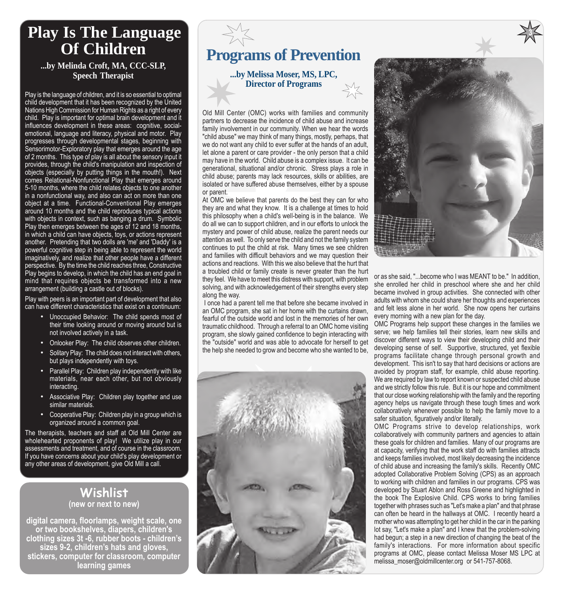## **Play Is The Language Of Children**

**...by Melinda Croft, MA, CCC-SLP, Speech Therapist**

Play is the language of children, and it is so essential to optimal child development that it has been recognized by the United Nations High Commission for Human Rights as a right of every child. Play is important for optimal brain development and it influences development in these areas: cognitive, socialemotional, language and literacy, physical and motor. Play progresses through developmental stages, beginning with Sensorimotor-Exploratory play that emerges around the age of 2 months. This type of play is all about the sensory input it provides, through the child's manipulation and inspection of objects (especially by putting things in the mouth!). Next comes Relational-Nonfunctional Play that emerges around 5-10 months, where the child relates objects to one another in a nonfunctional way, and also can act on more than one object at a time. Functional-Conventional Play emerges around 10 months and the child reproduces typical actions with objects in context, such as banging a drum. Symbolic Play then emerges between the ages of 12 and 18 months, in which a child can have objects, toys, or actions represent another. Pretending that two dolls are 'me' and 'Daddy' is a powerful cognitive step in being able to represent the world imaginatively, and realize that other people have a different perspective. By the time the child reaches three, Constructive Play begins to develop, in which the child has an end goal in mind that requires objects be transformed into a new arrangement (building a castle out of blocks).

Play with peers is an important part of development that also can have different characteristics that exist on a continuum:

- Unoccupied Behavior: The child spends most of their time looking around or moving around but is not involved actively in a task.
- Onlooker Play: The child observes other children.
- Solitary Play: The child does not interact with others, but plays independently with toys.
- Parallel Play: Children play independently with like materials, near each other, but not obviously interacting.
- Associative Play: Children play together and use similar materials.
- Cooperative Play: Children play in a group which is organized around a common goal.

The therapists, teachers and staff at Old Mill Center are wholehearted proponents of play! We utilize play in our assessments and treatment, and of course in the classroom. If you have concerns about your child's play development or any other areas of development, give Old Mill a call.

#### **Wishlist (new or next to new)**

**digital camera, floorlamps, weight scale, one or two bookshelves, diapers, children's clothing sizes 3t -6, rubber boots - childrenís sizes 9-2, childrenís hats and gloves, stickers, computer for classroom, computer learning games**

## **Programs of Prevention**

**...by Melissa Moser, MS, LPC, Director of Programs**

Old Mill Center (OMC) works with families and community partners to decrease the incidence of child abuse and increase family involvement in our community. When we hear the words "child abuse" we may think of many things, mostly, perhaps, that we do not want any child to ever suffer at the hands of an adult, let alone a parent or care provider - the only person that a child may have in the world. Child abuse is a complex issue. It can be generational, situational and/or chronic. Stress plays a role in child abuse; parents may lack resources, skills or abilities, are isolated or have suffered abuse themselves, either by a spouse or parent.

At OMC we believe that parents do the best they can for who they are and what they know. It is a challenge at times to hold this philosophy when a child's well-being is in the balance. We do all we can to support children, and in our efforts to unlock the mystery and power of child abuse, realize the parent needs our attention as well. To only serve the child and not the family system continues to put the child at risk. Many times we see children and families with difficult behaviors and we may question their actions and reactions. With this we also believe that the hurt that a troubled child or family create is never greater than the hurt they feel. We have to meet this distress with support, with problem solving, and with acknowledgement of their strengths every step along the way.

 I once had a parent tell me that before she became involved in an OMC program, she sat in her home with the curtains drawn, fearful of the outside world and lost in the memories of her own traumatic childhood. Through a referral to an OMC home visiting program, she slowly gained confidence to begin interacting with the "outside" world and was able to advocate for herself to get the help she needed to grow and become who she wanted to be,





**3**

or as she said, "...become who I was MEANT to be." In addition, she enrolled her child in preschool where she and her child became involved in group activities. She connected with other adults with whom she could share her thoughts and experiences and felt less alone in her world. She now opens her curtains every morning with a new plan for the day.

OMC Programs help support these changes in the families we serve; we help families tell their stories, learn new skills and discover different ways to view their developing child and their developing sense of self. Supportive, structured, yet flexible programs facilitate change through personal growth and development. This isn't to say that hard decisions or actions are avoided by program staff, for example, child abuse reporting. We are required by law to report known or suspected child abuse and we strictly follow this rule. But it is our hope and commitment that our close working relationship with the family and the reporting agency helps us navigate through these tough times and work collaboratively whenever possible to help the family move to a safer situation, figuratively and/or literally.

OMC Programs strive to develop relationships, work collaboratively with community partners and agencies to attain these goals for children and families. Many of our programs are at capacity, verifying that the work staff do with families attracts and keeps families involved, most likely decreasing the incidence of child abuse and increasing the family's skills. Recently OMC adopted Collaborative Problem Solving (CPS) as an approach to working with children and families in our programs. CPS was developed by Stuart Ablon and Ross Greene and highlighted in the book The Explosive Child. CPS works to bring families together with phrases such as "Let's make a plan" and that phrase can often be heard in the hallways at OMC. I recently heard a mother who was attempting to get her child in the car in the parking lot say, "Let's make a plan" and I knew that the problem-solving had begun; a step in a new direction of changing the beat of the family's interactions. For more information about specific programs at OMC, please contact Melissa Moser MS LPC at melissa\_moser@oldmillcenter.org or 541-757-8068.